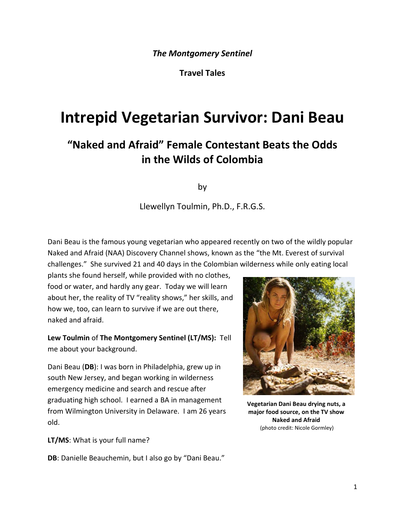**Travel Tales**

# **Intrepid Vegetarian Survivor: Dani Beau**

# **"Naked and Afraid" Female Contestant Beats the Odds in the Wilds of Colombia**

by

Llewellyn Toulmin, Ph.D., F.R.G.S.

Dani Beau is the famous young vegetarian who appeared recently on two of the wildly popular Naked and Afraid (NAA) Discovery Channel shows, known as the "the Mt. Everest of survival challenges." She survived 21 and 40 days in the Colombian wilderness while only eating local

plants she found herself, while provided with no clothes, food or water, and hardly any gear. Today we will learn about her, the reality of TV "reality shows," her skills, and how we, too, can learn to survive if we are out there, naked and afraid.

**Lew Toulmin** of **The Montgomery Sentinel (LT/MS):** Tell me about your background.

Dani Beau (**DB**): I was born in Philadelphia, grew up in south New Jersey, and began working in wilderness emergency medicine and search and rescue after graduating high school. I earned a BA in management from Wilmington University in Delaware. I am 26 years old.



**Vegetarian Dani Beau drying nuts, a major food source, on the TV show Naked and Afraid** (photo credit: Nicole Gormley)

**LT/MS**: What is your full name?

**DB**: Danielle Beauchemin, but I also go by "Dani Beau."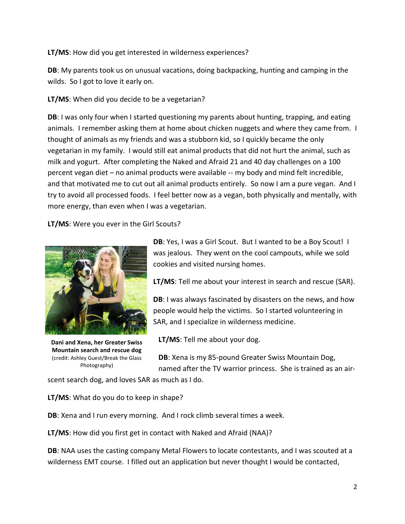**LT/MS**: How did you get interested in wilderness experiences?

**DB**: My parents took us on unusual vacations, doing backpacking, hunting and camping in the wilds. So I got to love it early on.

**LT/MS**: When did you decide to be a vegetarian?

**DB**: I was only four when I started questioning my parents about hunting, trapping, and eating animals. I remember asking them at home about chicken nuggets and where they came from. I thought of animals as my friends and was a stubborn kid, so I quickly became the only vegetarian in my family. I would still eat animal products that did not hurt the animal, such as milk and yogurt. After completing the Naked and Afraid 21 and 40 day challenges on a 100 percent vegan diet – no animal products were available -- my body and mind felt incredible, and that motivated me to cut out all animal products entirely. So now I am a pure vegan. And I try to avoid all processed foods. I feel better now as a vegan, both physically and mentally, with more energy, than even when I was a vegetarian.

**LT/MS**: Were you ever in the Girl Scouts?



**Dani and Xena, her Greater Swiss Mountain search and rescue dog** (credit: Ashley Guest/Break the Glass Photography)

**DB**: Yes, I was a Girl Scout. But I wanted to be a Boy Scout! I was jealous. They went on the cool campouts, while we sold cookies and visited nursing homes.

**LT/MS**: Tell me about your interest in search and rescue (SAR).

**DB**: I was always fascinated by disasters on the news, and how people would help the victims. So I started volunteering in SAR, and I specialize in wilderness medicine.

**LT/MS**: Tell me about your dog.

**DB**: Xena is my 85-pound Greater Swiss Mountain Dog, named after the TV warrior princess. She is trained as an air-

scent search dog, and loves SAR as much as I do.

**LT/MS**: What do you do to keep in shape?

**DB**: Xena and I run every morning. And I rock climb several times a week.

**LT/MS**: How did you first get in contact with Naked and Afraid (NAA)?

**DB**: NAA uses the casting company Metal Flowers to locate contestants, and I was scouted at a wilderness EMT course. I filled out an application but never thought I would be contacted,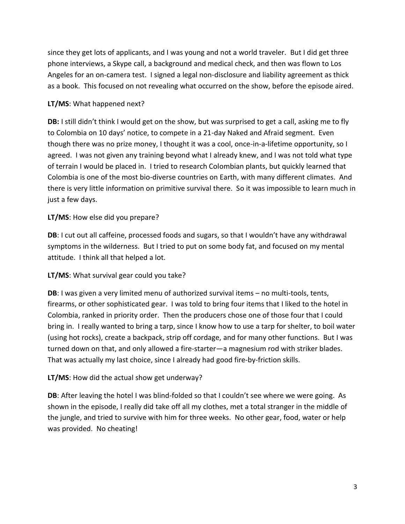since they get lots of applicants, and I was young and not a world traveler. But I did get three phone interviews, a Skype call, a background and medical check, and then was flown to Los Angeles for an on-camera test. I signed a legal non-disclosure and liability agreement as thick as a book. This focused on not revealing what occurred on the show, before the episode aired.

# **LT/MS**: What happened next?

**DB:** I still didn't think I would get on the show, but was surprised to get a call, asking me to fly to Colombia on 10 days' notice, to compete in a 21-day Naked and Afraid segment. Even though there was no prize money, I thought it was a cool, once-in-a-lifetime opportunity, so I agreed. I was not given any training beyond what I already knew, and I was not told what type of terrain I would be placed in. I tried to research Colombian plants, but quickly learned that Colombia is one of the most bio-diverse countries on Earth, with many different climates. And there is very little information on primitive survival there. So it was impossible to learn much in just a few days.

#### **LT/MS**: How else did you prepare?

**DB**: I cut out all caffeine, processed foods and sugars, so that I wouldn't have any withdrawal symptoms in the wilderness. But I tried to put on some body fat, and focused on my mental attitude. I think all that helped a lot.

# **LT/MS**: What survival gear could you take?

**DB**: I was given a very limited menu of authorized survival items – no multi-tools, tents, firearms, or other sophisticated gear. I was told to bring four items that I liked to the hotel in Colombia, ranked in priority order. Then the producers chose one of those four that I could bring in. I really wanted to bring a tarp, since I know how to use a tarp for shelter, to boil water (using hot rocks), create a backpack, strip off cordage, and for many other functions. But I was turned down on that, and only allowed a fire-starter—a magnesium rod with striker blades. That was actually my last choice, since I already had good fire-by-friction skills.

#### **LT/MS**: How did the actual show get underway?

**DB:** After leaving the hotel I was blind-folded so that I couldn't see where we were going. As shown in the episode, I really did take off all my clothes, met a total stranger in the middle of the jungle, and tried to survive with him for three weeks. No other gear, food, water or help was provided. No cheating!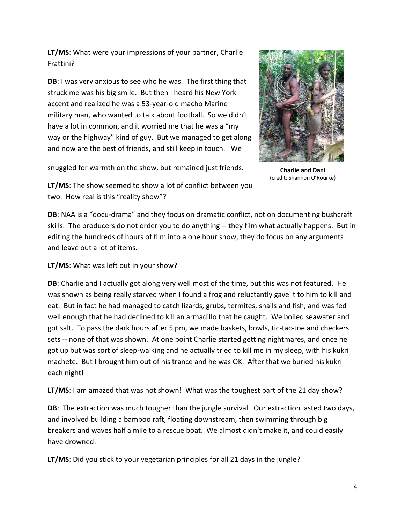**LT/MS**: What were your impressions of your partner, Charlie Frattini?

**DB**: I was very anxious to see who he was. The first thing that struck me was his big smile. But then I heard his New York accent and realized he was a 53-year-old macho Marine military man, who wanted to talk about football. So we didn't have a lot in common, and it worried me that he was a "my way or the highway" kind of guy. But we managed to get along and now are the best of friends, and still keep in touch. We



snuggled for warmth on the show, but remained just friends.

**Charlie and Dani** (credit: Shannon O'Rourke)

**LT/MS**: The show seemed to show a lot of conflict between you two. How real is this "reality show"?

**DB**: NAA is a "docu-drama" and they focus on dramatic conflict, not on documenting bushcraft skills. The producers do not order you to do anything -- they film what actually happens. But in editing the hundreds of hours of film into a one hour show, they do focus on any arguments and leave out a lot of items.

**LT/MS**: What was left out in your show?

**DB**: Charlie and I actually got along very well most of the time, but this was not featured. He was shown as being really starved when I found a frog and reluctantly gave it to him to kill and eat. But in fact he had managed to catch lizards, grubs, termites, snails and fish, and was fed well enough that he had declined to kill an armadillo that he caught. We boiled seawater and got salt. To pass the dark hours after 5 pm, we made baskets, bowls, tic-tac-toe and checkers sets -- none of that was shown. At one point Charlie started getting nightmares, and once he got up but was sort of sleep-walking and he actually tried to kill me in my sleep, with his kukri machete. But I brought him out of his trance and he was OK. After that we buried his kukri each night!

**LT/MS**: I am amazed that was not shown! What was the toughest part of the 21 day show?

**DB**: The extraction was much tougher than the jungle survival. Our extraction lasted two days, and involved building a bamboo raft, floating downstream, then swimming through big breakers and waves half a mile to a rescue boat. We almost didn't make it, and could easily have drowned.

**LT/MS**: Did you stick to your vegetarian principles for all 21 days in the jungle?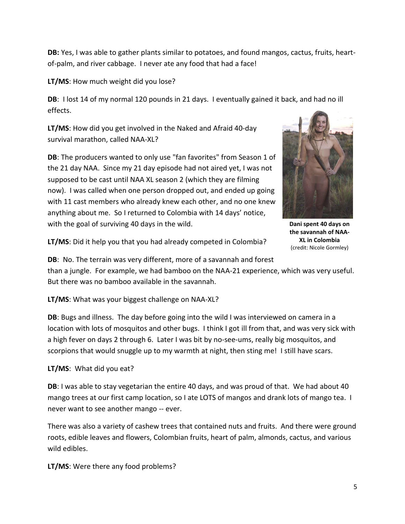**DB:** Yes, I was able to gather plants similar to potatoes, and found mangos, cactus, fruits, heartof-palm, and river cabbage. I never ate any food that had a face!

**LT/MS**: How much weight did you lose?

**DB**: I lost 14 of my normal 120 pounds in 21 days. I eventually gained it back, and had no ill effects.

**LT/MS**: How did you get involved in the Naked and Afraid 40-day survival marathon, called NAA-XL?

**DB**: The producers wanted to only use "fan favorites" from Season 1 of the 21 day NAA. Since my 21 day episode had not aired yet, I was not supposed to be cast until NAA XL season 2 (which they are filming now). I was called when one person dropped out, and ended up going with 11 cast members who already knew each other, and no one knew anything about me. So I returned to Colombia with 14 days' notice, with the goal of surviving 40 days in the wild.



**Dani spent 40 days on the savannah of NAA-XL in Colombia** (credit: Nicole Gormley)

**LT/MS**: Did it help you that you had already competed in Colombia?

**DB**: No. The terrain was very different, more of a savannah and forest than a jungle. For example, we had bamboo on the NAA-21 experience, which was very useful. But there was no bamboo available in the savannah.

**LT/MS**: What was your biggest challenge on NAA-XL?

**DB**: Bugs and illness. The day before going into the wild I was interviewed on camera in a location with lots of mosquitos and other bugs. I think I got ill from that, and was very sick with a high fever on days 2 through 6. Later I was bit by no-see-ums, really big mosquitos, and scorpions that would snuggle up to my warmth at night, then sting me! I still have scars.

# **LT/MS**: What did you eat?

**DB**: I was able to stay vegetarian the entire 40 days, and was proud of that. We had about 40 mango trees at our first camp location, so I ate LOTS of mangos and drank lots of mango tea. I never want to see another mango -- ever.

There was also a variety of cashew trees that contained nuts and fruits. And there were ground roots, edible leaves and flowers, Colombian fruits, heart of palm, almonds, cactus, and various wild edibles.

**LT/MS**: Were there any food problems?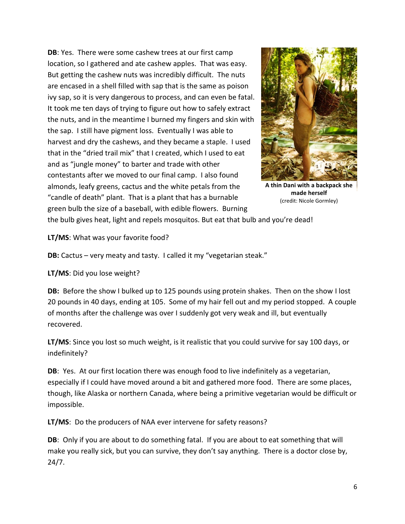**DB**: Yes. There were some cashew trees at our first camp location, so I gathered and ate cashew apples. That was easy. But getting the cashew nuts was incredibly difficult. The nuts are encased in a shell filled with sap that is the same as poison ivy sap, so it is very dangerous to process, and can even be fatal. It took me ten days of trying to figure out how to safely extract the nuts, and in the meantime I burned my fingers and skin with the sap. I still have pigment loss. Eventually I was able to harvest and dry the cashews, and they became a staple. I used that in the "dried trail mix" that I created, which I used to eat and as "jungle money" to barter and trade with other contestants after we moved to our final camp. I also found almonds, leafy greens, cactus and the white petals from the "candle of death" plant. That is a plant that has a burnable green bulb the size of a baseball, with edible flowers. Burning



**A thin Dani with a backpack she made herself** (credit: Nicole Gormley)

the bulb gives heat, light and repels mosquitos. But eat that bulb and you're dead!

**LT/MS**: What was your favorite food?

**DB:** Cactus – very meaty and tasty. I called it my "vegetarian steak."

**LT/MS**: Did you lose weight?

**DB:** Before the show I bulked up to 125 pounds using protein shakes. Then on the show I lost 20 pounds in 40 days, ending at 105. Some of my hair fell out and my period stopped. A couple of months after the challenge was over I suddenly got very weak and ill, but eventually recovered.

**LT/MS**: Since you lost so much weight, is it realistic that you could survive for say 100 days, or indefinitely?

**DB**: Yes. At our first location there was enough food to live indefinitely as a vegetarian, especially if I could have moved around a bit and gathered more food. There are some places, though, like Alaska or northern Canada, where being a primitive vegetarian would be difficult or impossible.

**LT/MS**: Do the producers of NAA ever intervene for safety reasons?

**DB**: Only if you are about to do something fatal. If you are about to eat something that will make you really sick, but you can survive, they don't say anything. There is a doctor close by, 24/7.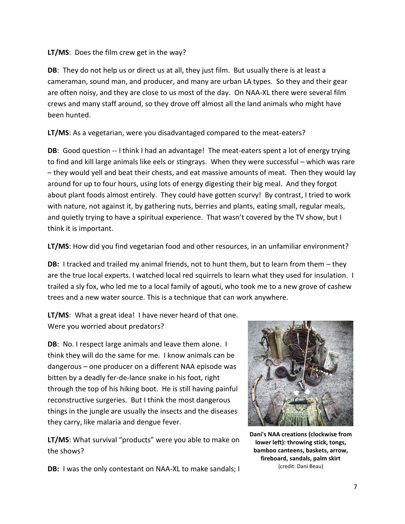#### **LT/MS**: Does the film crew get in the way?

**DB**: They do not help us or direct us at all, they just film. But usually there is at least a cameraman, sound man, and producer, and many are urban LA types. So they and their gear are often noisy, and they are close to us most of the day. On NAA-XL there were several film crews and many staff around, so they drove off almost all the land animals who might have been hunted.

**LT/MS**: As a vegetarian, were you disadvantaged compared to the meat-eaters?

**DB:** Good question -- I think I had an advantage! The meat-eaters spent a lot of energy trying to find and kill large animals like eels or stingrays. When they were successful – which was rare – they would yell and beat their chests, and eat massive amounts of meat. Then they would lay around for up to four hours, using lots of energy digesting their big meal. And they forgot about plant foods almost entirely. They could have gotten scurvy! By contrast, I tried to work with nature, not against it, by gathering nuts, berries and plants, eating small, regular meals, and quietly trying to have a spiritual experience. That wasn't covered by the TV show, but I think it is important.

**LT/MS**: How did you find vegetarian food and other resources, in an unfamiliar environment?

**DB:** I tracked and trailed my animal friends, not to hunt them, but to learn from them – they are the true local experts. I watched local red squirrels to learn what they used for insulation. I trailed a sly fox, who led me to a local family of agouti, who took me to a new grove of cashew trees and a new water source. This is a technique that can work anywhere.

**LT/MS**: What a great idea! I have never heard of that one. Were you worried about predators?

**DB**: No. I respect large animals and leave them alone. I think they will do the same for me. I know animals can be dangerous – one producer on a different NAA episode was bitten by a deadly fer-de-lance snake in his foot, right through the top of his hiking boot. He is still having painful reconstructive surgeries. But I think the most dangerous things in the jungle are usually the insects and the diseases they carry, like malaria and dengue fever.

**LT/MS**: What survival "products" were you able to make on the shows?



**Dani's NAA creations (clockwise from lower left): throwing stick, tongs, bamboo canteens, baskets, arrow, fireboard, sandals, palm skirt** (credit: Dani Beau)

**DB:** I was the only contestant on NAA-XL to make sandals; I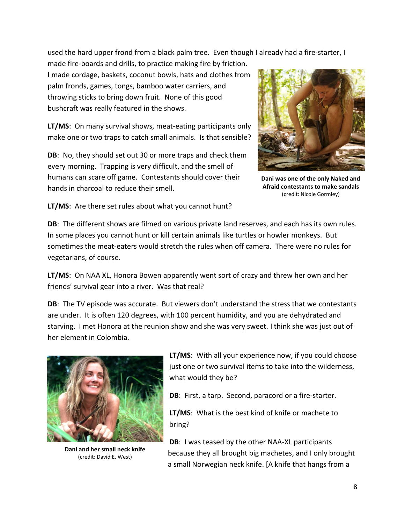used the hard upper frond from a black palm tree. Even though I already had a fire-starter, I

made fire-boards and drills, to practice making fire by friction. I made cordage, baskets, coconut bowls, hats and clothes from palm fronds, games, tongs, bamboo water carriers, and throwing sticks to bring down fruit. None of this good bushcraft was really featured in the shows.

**LT/MS**: On many survival shows, meat-eating participants only make one or two traps to catch small animals. Is that sensible?

**DB**: No, they should set out 30 or more traps and check them every morning. Trapping is very difficult, and the smell of humans can scare off game. Contestants should cover their hands in charcoal to reduce their smell.



**Dani was one of the only Naked and Afraid contestants to make sandals** (credit: Nicole Gormley)

**LT/MS**: Are there set rules about what you cannot hunt?

**DB**: The different shows are filmed on various private land reserves, and each has its own rules. In some places you cannot hunt or kill certain animals like turtles or howler monkeys. But sometimes the meat-eaters would stretch the rules when off camera. There were no rules for vegetarians, of course.

**LT/MS**: On NAA XL, Honora Bowen apparently went sort of crazy and threw her own and her friends' survival gear into a river. Was that real?

**DB**: The TV episode was accurate. But viewers don't understand the stress that we contestants are under. It is often 120 degrees, with 100 percent humidity, and you are dehydrated and starving. I met Honora at the reunion show and she was very sweet. I think she was just out of her element in Colombia.



**Dani and her small neck knife** (credit: David E. West)

**LT/MS**: With all your experience now, if you could choose just one or two survival items to take into the wilderness, what would they be?

**DB**: First, a tarp. Second, paracord or a fire-starter.

**LT/MS**: What is the best kind of knife or machete to bring?

**DB**: I was teased by the other NAA-XL participants because they all brought big machetes, and I only brought a small Norwegian neck knife. [A knife that hangs from a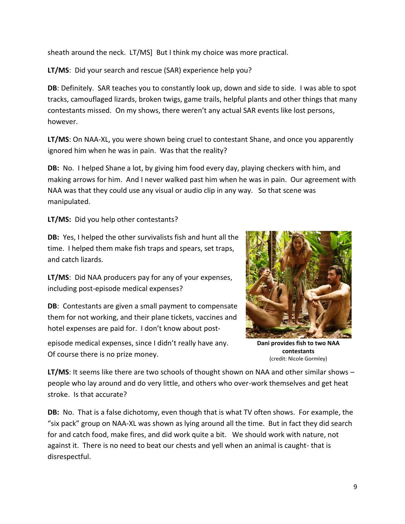sheath around the neck. LT/MS] But I think my choice was more practical.

**LT/MS**: Did your search and rescue (SAR) experience help you?

**DB**: Definitely. SAR teaches you to constantly look up, down and side to side. I was able to spot tracks, camouflaged lizards, broken twigs, game trails, helpful plants and other things that many contestants missed. On my shows, there weren't any actual SAR events like lost persons, however.

**LT/MS**: On NAA-XL, you were shown being cruel to contestant Shane, and once you apparently ignored him when he was in pain. Was that the reality?

**DB:** No. I helped Shane a lot, by giving him food every day, playing checkers with him, and making arrows for him. And I never walked past him when he was in pain. Our agreement with NAA was that they could use any visual or audio clip in any way. So that scene was manipulated.

**LT/MS:** Did you help other contestants?

**DB:** Yes, I helped the other survivalists fish and hunt all the time. I helped them make fish traps and spears, set traps, and catch lizards.

**LT/MS**: Did NAA producers pay for any of your expenses, including post-episode medical expenses?

**DB**: Contestants are given a small payment to compensate them for not working, and their plane tickets, vaccines and hotel expenses are paid for. I don't know about post-

episode medical expenses, since I didn't really have any. Of course there is no prize money.



**Dani provides fish to two NAA contestants** (credit: Nicole Gormley)

**LT/MS**: It seems like there are two schools of thought shown on NAA and other similar shows – people who lay around and do very little, and others who over-work themselves and get heat stroke. Is that accurate?

**DB:** No. That is a false dichotomy, even though that is what TV often shows. For example, the "six pack" group on NAA-XL was shown as lying around all the time. But in fact they did search for and catch food, make fires, and did work quite a bit. We should work with nature, not against it. There is no need to beat our chests and yell when an animal is caught- that is disrespectful.